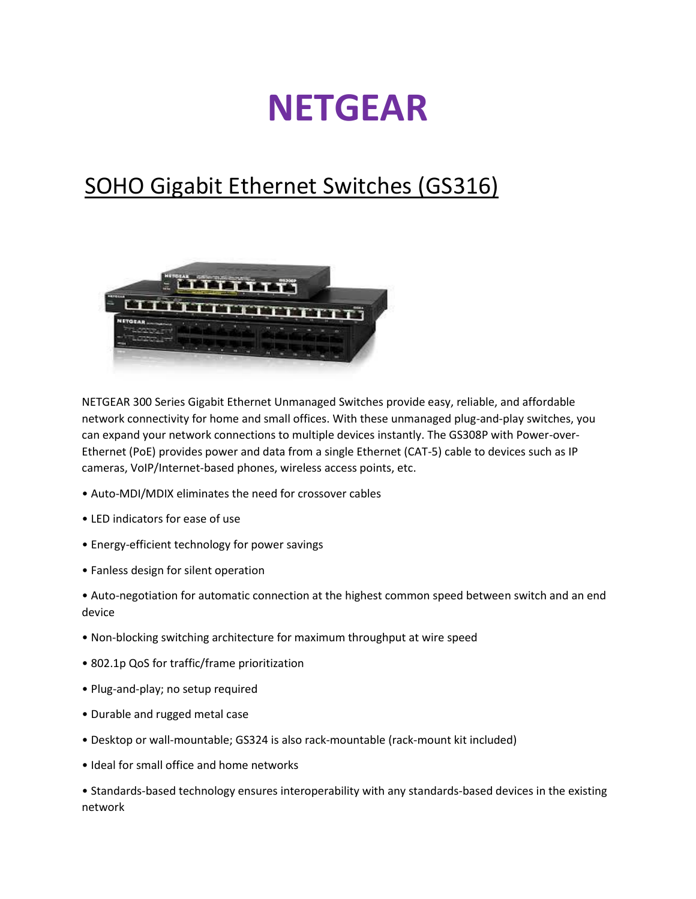## **NETGEAR**

## SOHO Gigabit Ethernet Switches (GS316)



NETGEAR 300 Series Gigabit Ethernet Unmanaged Switches provide easy, reliable, and affordable network connectivity for home and small offices. With these unmanaged plug-and-play switches, you can expand your network connections to multiple devices instantly. The GS308P with Power-over-Ethernet (PoE) provides power and data from a single Ethernet (CAT-5) cable to devices such as IP cameras, VoIP/Internet-based phones, wireless access points, etc.

- Auto-MDI/MDIX eliminates the need for crossover cables
- LED indicators for ease of use
- Energy-efficient technology for power savings
- Fanless design for silent operation
- Auto-negotiation for automatic connection at the highest common speed between switch and an end device
- Non-blocking switching architecture for maximum throughput at wire speed
- 802.1p QoS for traffic/frame prioritization
- Plug-and-play; no setup required
- Durable and rugged metal case
- Desktop or wall-mountable; GS324 is also rack-mountable (rack-mount kit included)
- Ideal for small office and home networks

• Standards-based technology ensures interoperability with any standards-based devices in the existing network